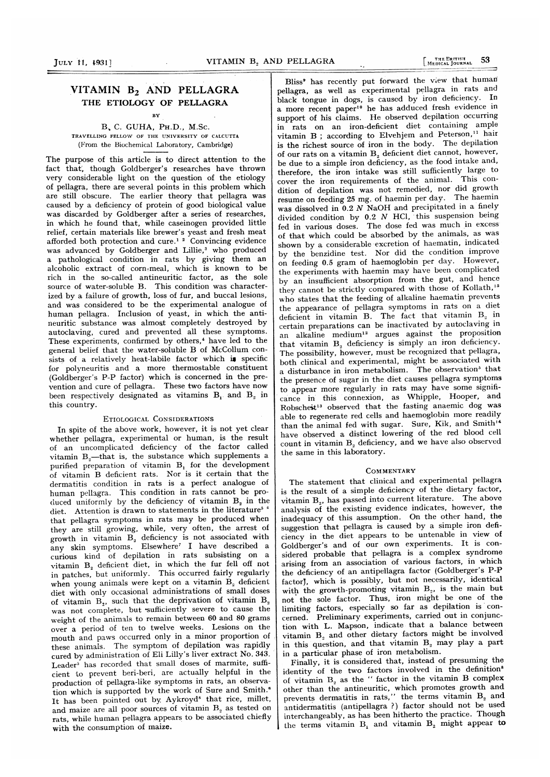# VITAMIN B<sub>2</sub> AND PELLAGRA THE ETIOLOGY OF PELLAGRA

**BV** 

B, C. GUHA, PH.D., M.Sc. TRAVELLING FELLOW OF THE UNIVERSITY OF CALCUTTA (From the Biochemical Laboratory, Cambridge)

The purpose of this article is to direct attention to the fact that, though Goldberger's researches have thrown very considerable light on the question of the etiology of pellagra, there are several points in this problem which are still obscure. The earlier theory that pellagra was caused by a deficiency of protein of good biological value was discarded by Goldberger after a series of researches, in which he found that, while caseinogen provided little relief, certain materials like brewer's yeast and fresh meat afforded both protection and cure.<sup>1</sup>  $\degree$  Convincing evidence was advanced by Goldberger and Lillie,<sup>3</sup> who produced a pathological condition in rats by giving them an alcoholic extract of corn-meal, which is known to be rich in the so-called antineuritic factor, as the sole source of water-soluble B. This condition was characterized by a failure of growth, loss of fur, and buccal lesions, and was considered to be the experimental analogue of human pellagra. Inclusion of yeast, in which the antineuritic substance was almost completely destroyed by autoclaving, cured and prevented all these symptoms. These experiments, confirmed by others,<sup>4</sup> have led to the general belief that the water-soluble B of McCollum consists of a relatively heat-labile factor which is specific for polyneuritis and a more thermostable constituent (Goldberger's P-P factor) which is concerned in the prevention and cure of pellagra. These two factors have now been respectively designated as vitamins  $B_1$  and  $B_2$  in this country.

### ETIOLOGICAL CONSIDERATIONS

In spite of the above work, however, it is not yet clear whether pellagra, experimental or human, is the result of an uncomplicated deficiency of the factor called vitamin  $B_3$ —that is, the substance which supplements a purified preparation of vitamin B, for the development of vitamin B deficient rats. Nor is it certain that the dermatitis condition in rats is a perfect analogue of human pellagra. This condition in rats cannot be pro duced uniformly by the deficiency of vitamin  $B<sub>2</sub>$  in the diet. Attention is drawn to statements in the literature<sup>5</sup> <sup>6</sup> that pellagra symptoms in rats may be produced when they are still growing, while, very often, the arrest of growth in vitamin  $B<sub>2</sub>$  deficiency is not associated with any skin symptoms. Elsewhere7 <sup>I</sup> have described a curious kind of depilation in rats subsisting on a vitamin  $B_2$  deficient diet, in which the fur fell off not in patches, but uniformly. This occurred fairly regularly when young animals were kept on a vitamin B<sub>2</sub> deficient diet with only occasional administrations of small doses of vitamin  $B_2$ , such that the deprivation of vitamin  $B_2$ was not complete, but sufficiently severe to cause the weight of the animals to remain between 60 and 80 grams over a period of ten to twelve weeks. Lesions on the mouth and paws occurred only in a minor proportion of these animals. The symptom of depilation was rapidly cured by administration of Eli Lilly's liver extract No. 343.  $Leader^5$  has recorded that small doses of marmite, sufficient to prevent beri-beri, are actually helpful in the production of pellagra-like symptoms in rats, an observation which is supported by the work of Sure and Smith." It has been pointed out by Aykroyd' that rice, millet, and maize are all poor sources of vitamin B<sub>2</sub> as tested on rats, while human pellagra appears to be associated chiefly with the consumption of maize.

Bliss' has recently put forward the view that human pellagra, as well as experimental pellagra in rats and black tongue in dogs, is caused by iron deficiency. In a more recent paper<sup>10</sup> he has adduced fresh evidence in support of his claims. He observed depilation occurring in rats on an iron-deficient diet containing ample vitamin B; according to Elvehjem and Peterson,<sup>11</sup> hair is the richest source of iron in the body. The depilation of our rats on a vitamin B, deficient diet cannot, however, be due to a simple iron deficiency, as the food intake and, therefore, the iron intake was still sufficiently large to cover the iron requirements of the animal. This condition of depilation was not remedied, nor did growth resume on feeding <sup>25</sup> mg. of haemin per day. The haemin was dissolved in 0.2 N NaOH and precipitated in a finely divided condition by  $0.2$  N HCl, this suspension being fed in various doses. The dose fed was much in excessof that which could be absorbed by the animals, as was shown by a considerable excretion of haematin, indicated by the benzidine test. Nor did the condition improve on feeding 0.5 gram of haemoglobin per day. However, the experiments with haemin may have been complicated by an insufficient absorption from the gut, and hence they cannot be strictly compared with those of Kollath,<sup>15</sup> who states that the feeding of alkaline haematin prevents the appearance of pellagra symptoms in rats on <sup>a</sup> diet deficient in vitamin B. The fact that vitamin  $B<sub>2</sub>$  in certain preparations can be inactivated by autoclaving in an alkaline medium'2 argues against the proposition that vitamin B, deficiency is simply an iron deficiency. The possibility, however, must be recognized that pellagra, both clinical and experimental, might be associated with a disturbance in iron metabolism. The observation<sup>3</sup> that the presence of sugar in the diet causes pellagra symptoms to appear more regularly in rats may have some significance in' this' connexion, as Whipple, Hooper, and Robscheit'3 observed that the fasting anaemic dog was able to regenerate red cells and haemoglobin more readily than the animal fed with sugar. Sure, Kik, and Smith'4 have observed a distinct lowering of the red blood cell count in vitamin  $B_2$  deficiency, and we have also observed the same in this laboratory.

### COMMENTARY

The statement that clinical and experimental pellagra is the result of a simple deficiency of the dietary factor, vitamin  $B<sub>2</sub>$ , has passed into current literature. The above analysis of the existing evidence indicates, however, the inadequacy of this assumption. On the other hand, the suggestion that pellagra is caused by a simple iron deficiency in the diet appears to be untenable in view of Goldberger's and of our own experiments. It is considered probable that pellagra is a complex syndrome arising from an association of various factors, in which the deficiency of an antipellagra factor (Goldberger's P-P factor), which is possibly, but not necessarily, identical with the growth-promoting vitamin B<sub>2</sub>, is the main but not the sole factor. Thus, iron might be one of the limiting factors, especially so far as depilation is concerned. Preliminary experiments, carried out in conjunction with L. Mapson, indicate that <sup>a</sup> balance between vitamin B, and other dietary factors might be involved in this question, and that vitamin B, may play a part in a particular phase of iron metabolism.

Finally, it is considered that, instead of presuming the identity of the two factors involved in the definition<sup>8</sup> of vitamin  $B_2$  as the " factor in the vitamin B complex other than the antineuritic, which promotes growth and prevents dermatitis in rats," the terms vitamin  $B_2$  and antidermatitis (antipellagra ?) factor should not be used interchangeably, as has been hitherto the practice. Though the terms vitamin  $B_1$  and vitamin  $B_2$  might appear to